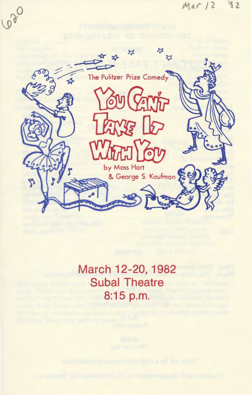

March 12-20, 1982 **Subal Theatre** 8:15 p.m.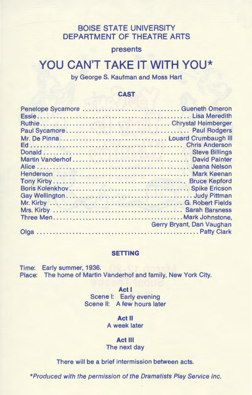# BOISE STATE UNIVERSITY DEPARTMENT OF THEATRE ARTS

presents

# YOU CAN'T TAKE IT WITH YOU\*

by George S. Kaufman and Moss Hart

### CAST

| Penelope Sycamore  Gueneth Omeron |                           |
|-----------------------------------|---------------------------|
|                                   |                           |
|                                   |                           |
|                                   |                           |
|                                   |                           |
|                                   |                           |
|                                   |                           |
|                                   |                           |
|                                   |                           |
|                                   |                           |
|                                   |                           |
|                                   |                           |
|                                   |                           |
|                                   |                           |
|                                   |                           |
|                                   |                           |
|                                   |                           |
|                                   | Gerry Bryant, Dan Vaughan |
|                                   |                           |
|                                   |                           |

## SETTING

Time: Early summer, 1936. Place: The home of Martin Vanderhof and family, New York City.

> Act I Scene I: Early evening Scene II: A few hours later

> > Act II A week later

Act Ill The next day

There will be a brief intermission between acts.

\*Produced with the permission of the Dramatists Play Service Inc.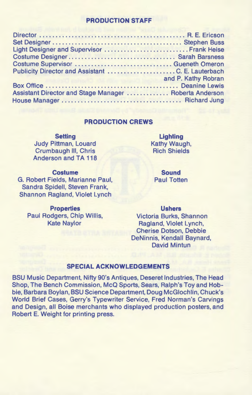# **PRODUCTION STAFF**

| Light Designer and Supervisor  Frank Heise             |  |
|--------------------------------------------------------|--|
|                                                        |  |
| Costume Supervisor  Gueneth Omeron                     |  |
|                                                        |  |
|                                                        |  |
|                                                        |  |
| Assistant Director and Stage Manager  Roberta Anderson |  |
|                                                        |  |

#### **PRODUCTION CREWS**

**Setting**  Judy Pittman, Louard Crumbaugh Ill, Chris Anderson and TA 118

**Costume**  G. Robert Fields, Marianne Paul, Sandra Spidell, Steven Frank, Shannon Ragland, Violet Lynch

**Properties**  Paul Rodgers, Chip Willis, Kate Naylor

**Lighting**  Kathy Waugh, Rich Shields

**Sound**  Paul Totten

**Ushers** 

Victoria Burks, Shannon Ragland, Violet Lynch, Cherise Dotson, Debbie DeNinnis, Kendall Baynard, David Mintun

#### **SPECIAL ACKNOWLEDGEMENTS**

BSU Music Department, Nifty 90's Antiques, Deseret Industries, The Head Shop, The Bench Commission, McQ Sports, Sears, Ralph's Toy and Hobbie, Barbara Boylan, BSU Science Department, Doug McGiochlin, Chuck's World Brief Cases, Gerry's Typewriter Service, Fred Norman's Carvings and Design, all Boise merchants who displayed production posters, and Robert E. Weight for printing press.